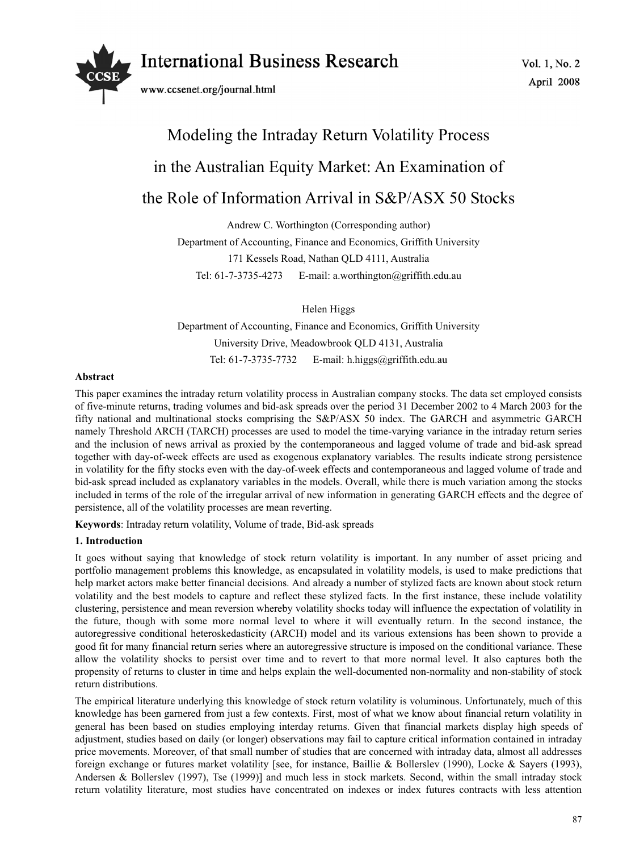# **International Business Research**



# Modeling the Intraday Return Volatility Process in the Australian Equity Market: An Examination of the Role of Information Arrival in S&P/ASX 50 Stocks

Andrew C. Worthington (Corresponding author) Department of Accounting, Finance and Economics, Griffith University 171 Kessels Road, Nathan QLD 4111, Australia Tel:  $61-7-3735-4273$  E-mail: a.worthington@griffith.edu.au

Helen Higgs Department of Accounting, Finance and Economics, Griffith University University Drive, Meadowbrook QLD 4131, Australia Tel: 61-7-3735-7732 E-mail: h.higgs@griffith.edu.au

### **Abstract**

This paper examines the intraday return volatility process in Australian company stocks. The data set employed consists of five-minute returns, trading volumes and bid-ask spreads over the period 31 December 2002 to 4 March 2003 for the fifty national and multinational stocks comprising the S&P/ASX 50 index. The GARCH and asymmetric GARCH namely Threshold ARCH (TARCH) processes are used to model the time-varying variance in the intraday return series and the inclusion of news arrival as proxied by the contemporaneous and lagged volume of trade and bid-ask spread together with day-of-week effects are used as exogenous explanatory variables. The results indicate strong persistence in volatility for the fifty stocks even with the day-of-week effects and contemporaneous and lagged volume of trade and bid-ask spread included as explanatory variables in the models. Overall, while there is much variation among the stocks included in terms of the role of the irregular arrival of new information in generating GARCH effects and the degree of persistence, all of the volatility processes are mean reverting.

**Keywords**: Intraday return volatility, Volume of trade, Bid-ask spreads

## **1. Introduction**

It goes without saying that knowledge of stock return volatility is important. In any number of asset pricing and portfolio management problems this knowledge, as encapsulated in volatility models, is used to make predictions that help market actors make better financial decisions. And already a number of stylized facts are known about stock return volatility and the best models to capture and reflect these stylized facts. In the first instance, these include volatility clustering, persistence and mean reversion whereby volatility shocks today will influence the expectation of volatility in the future, though with some more normal level to where it will eventually return. In the second instance, the autoregressive conditional heteroskedasticity (ARCH) model and its various extensions has been shown to provide a good fit for many financial return series where an autoregressive structure is imposed on the conditional variance. These allow the volatility shocks to persist over time and to revert to that more normal level. It also captures both the propensity of returns to cluster in time and helps explain the well-documented non-normality and non-stability of stock return distributions.

The empirical literature underlying this knowledge of stock return volatility is voluminous. Unfortunately, much of this knowledge has been garnered from just a few contexts. First, most of what we know about financial return volatility in general has been based on studies employing interday returns. Given that financial markets display high speeds of adjustment, studies based on daily (or longer) observations may fail to capture critical information contained in intraday price movements. Moreover, of that small number of studies that are concerned with intraday data, almost all addresses foreign exchange or futures market volatility [see, for instance, Baillie & Bollerslev (1990), Locke & Sayers (1993), Andersen & Bollerslev (1997), Tse (1999)] and much less in stock markets. Second, within the small intraday stock return volatility literature, most studies have concentrated on indexes or index futures contracts with less attention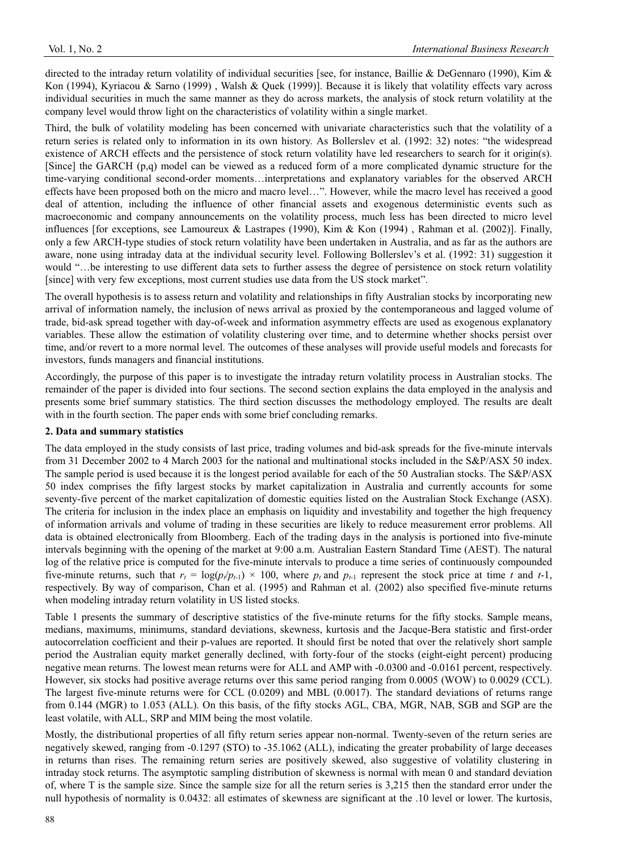directed to the intraday return volatility of individual securities [see, for instance, Baillie & DeGennaro (1990), Kim & Kon (1994), Kyriacou & Sarno (1999) , Walsh & Quek (1999)]. Because it is likely that volatility effects vary across individual securities in much the same manner as they do across markets, the analysis of stock return volatility at the company level would throw light on the characteristics of volatility within a single market.

Third, the bulk of volatility modeling has been concerned with univariate characteristics such that the volatility of a return series is related only to information in its own history. As Bollerslev et al. (1992: 32) notes: "the widespread existence of ARCH effects and the persistence of stock return volatility have led researchers to search for it origin(s). [Since] the GARCH (p,q) model can be viewed as a reduced form of a more complicated dynamic structure for the time-varying conditional second-order moments…interpretations and explanatory variables for the observed ARCH effects have been proposed both on the micro and macro level…". However, while the macro level has received a good deal of attention, including the influence of other financial assets and exogenous deterministic events such as macroeconomic and company announcements on the volatility process, much less has been directed to micro level influences [for exceptions, see Lamoureux & Lastrapes (1990), Kim & Kon (1994) , Rahman et al. (2002)]. Finally, only a few ARCH-type studies of stock return volatility have been undertaken in Australia, and as far as the authors are aware, none using intraday data at the individual security level. Following Bollerslev's et al. (1992: 31) suggestion it would "...be interesting to use different data sets to further assess the degree of persistence on stock return volatility [since] with very few exceptions, most current studies use data from the US stock market".

The overall hypothesis is to assess return and volatility and relationships in fifty Australian stocks by incorporating new arrival of information namely, the inclusion of news arrival as proxied by the contemporaneous and lagged volume of trade, bid-ask spread together with day-of-week and information asymmetry effects are used as exogenous explanatory variables. These allow the estimation of volatility clustering over time, and to determine whether shocks persist over time, and/or revert to a more normal level. The outcomes of these analyses will provide useful models and forecasts for investors, funds managers and financial institutions.

Accordingly, the purpose of this paper is to investigate the intraday return volatility process in Australian stocks. The remainder of the paper is divided into four sections. The second section explains the data employed in the analysis and presents some brief summary statistics. The third section discusses the methodology employed. The results are dealt with in the fourth section. The paper ends with some brief concluding remarks.

#### **2. Data and summary statistics**

The data employed in the study consists of last price, trading volumes and bid-ask spreads for the five-minute intervals from 31 December 2002 to 4 March 2003 for the national and multinational stocks included in the S&P/ASX 50 index. The sample period is used because it is the longest period available for each of the 50 Australian stocks. The S&P/ASX 50 index comprises the fifty largest stocks by market capitalization in Australia and currently accounts for some seventy-five percent of the market capitalization of domestic equities listed on the Australian Stock Exchange (ASX). The criteria for inclusion in the index place an emphasis on liquidity and investability and together the high frequency of information arrivals and volume of trading in these securities are likely to reduce measurement error problems. All data is obtained electronically from Bloomberg. Each of the trading days in the analysis is portioned into five-minute intervals beginning with the opening of the market at 9:00 a.m. Australian Eastern Standard Time (AEST). The natural log of the relative price is computed for the five-minute intervals to produce a time series of continuously compounded five-minute returns, such that  $r_t = \log(p_t/p_{t-1}) \times 100$ , where  $p_t$  and  $p_{t-1}$  represent the stock price at time *t* and *t*-1, respectively. By way of comparison, Chan et al. (1995) and Rahman et al. (2002) also specified five-minute returns when modeling intraday return volatility in US listed stocks.

Table 1 presents the summary of descriptive statistics of the five-minute returns for the fifty stocks. Sample means, medians, maximums, minimums, standard deviations, skewness, kurtosis and the Jacque-Bera statistic and first-order autocorrelation coefficient and their p-values are reported. It should first be noted that over the relatively short sample period the Australian equity market generally declined, with forty-four of the stocks (eight-eight percent) producing negative mean returns. The lowest mean returns were for ALL and AMP with -0.0300 and -0.0161 percent, respectively. However, six stocks had positive average returns over this same period ranging from 0.0005 (WOW) to 0.0029 (CCL). The largest five-minute returns were for CCL (0.0209) and MBL (0.0017). The standard deviations of returns range from 0.144 (MGR) to 1.053 (ALL). On this basis, of the fifty stocks AGL, CBA, MGR, NAB, SGB and SGP are the least volatile, with ALL, SRP and MIM being the most volatile.

Mostly, the distributional properties of all fifty return series appear non-normal. Twenty-seven of the return series are negatively skewed, ranging from -0.1297 (STO) to -35.1062 (ALL), indicating the greater probability of large deceases in returns than rises. The remaining return series are positively skewed, also suggestive of volatility clustering in intraday stock returns. The asymptotic sampling distribution of skewness is normal with mean 0 and standard deviation of, where T is the sample size. Since the sample size for all the return series is 3,215 then the standard error under the null hypothesis of normality is 0.0432: all estimates of skewness are significant at the .10 level or lower. The kurtosis,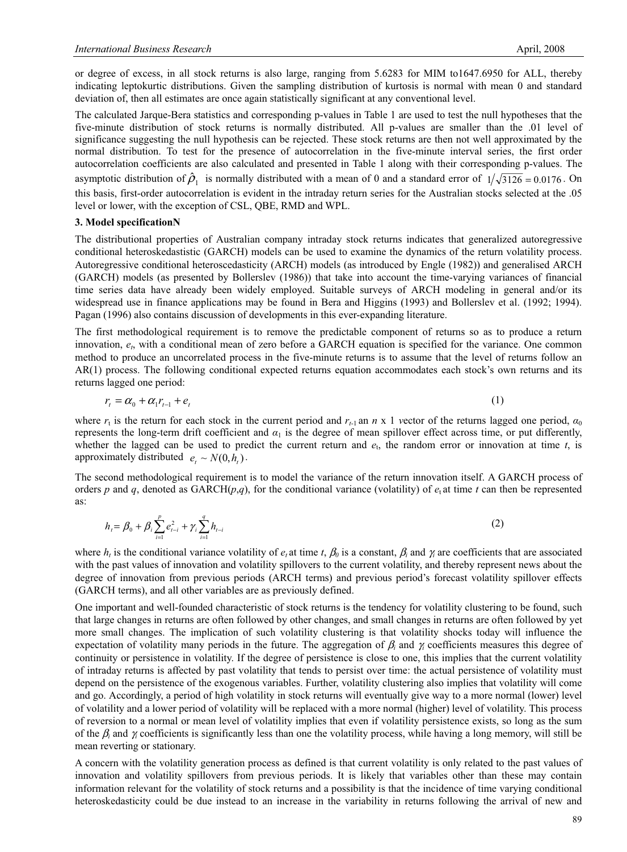or degree of excess, in all stock returns is also large, ranging from 5.6283 for MIM to1647.6950 for ALL, thereby indicating leptokurtic distributions. Given the sampling distribution of kurtosis is normal with mean 0 and standard deviation of, then all estimates are once again statistically significant at any conventional level.

The calculated Jarque-Bera statistics and corresponding p-values in Table 1 are used to test the null hypotheses that the five-minute distribution of stock returns is normally distributed. All p-values are smaller than the .01 level of significance suggesting the null hypothesis can be rejected. These stock returns are then not well approximated by the normal distribution. To test for the presence of autocorrelation in the five-minute interval series, the first order autocorrelation coefficients are also calculated and presented in Table 1 along with their corresponding p-values. The asymptotic distribution of  $\hat{\rho}_1$  is normally distributed with a mean of 0 and a standard error of  $1/\sqrt{3126} = 0.0176$ . On this basis, first-order autocorrelation is evident in the intraday return series for the Australian stocks selected at the .05 level or lower, with the exception of CSL, QBE, RMD and WPL.

#### **3. Model specificationN**

The distributional properties of Australian company intraday stock returns indicates that generalized autoregressive conditional heteroskedastistic (GARCH) models can be used to examine the dynamics of the return volatility process. Autoregressive conditional heteroscedasticity (ARCH) models (as introduced by Engle (1982)) and generalised ARCH (GARCH) models (as presented by Bollerslev (1986)) that take into account the time-varying variances of financial time series data have already been widely employed. Suitable surveys of ARCH modeling in general and/or its widespread use in finance applications may be found in Bera and Higgins (1993) and Bollerslev et al. (1992; 1994). Pagan (1996) also contains discussion of developments in this ever-expanding literature.

The first methodological requirement is to remove the predictable component of returns so as to produce a return innovation,  $e<sub>t</sub>$ , with a conditional mean of zero before a GARCH equation is specified for the variance. One common method to produce an uncorrelated process in the five-minute returns is to assume that the level of returns follow an AR(1) process. The following conditional expected returns equation accommodates each stock's own returns and its returns lagged one period:

$$
r_t = \alpha_0 + \alpha_1 r_{t-1} + e_t \tag{1}
$$

where  $r_t$  is the return for each stock in the current period and  $r_{t-1}$  an  $n \times 1$  vector of the returns lagged one period,  $a_0$ represents the long-term drift coefficient and  $a_1$  is the degree of mean spillover effect across time, or put differently, whether the lagged can be used to predict the current return and  $e_t$ , the random error or innovation at time  $t$ , is approximately distributed  $e_t \sim N(0, h_t)$ .

The second methodological requirement is to model the variance of the return innovation itself. A GARCH process of orders  $p$  and  $q$ , denoted as GARCH( $p,q$ ), for the conditional variance (volatility) of  $e_t$  at time  $t$  can then be represented as:

$$
h_{i} = \beta_{0} + \beta_{i} \sum_{i=1}^{p} e_{i-i}^{2} + \gamma_{i} \sum_{i=1}^{q} h_{i-i}
$$
 (2)

where  $h_t$  is the conditional variance volatility of  $e_t$  at time *t*,  $\beta_0$  is a constant,  $\beta_i$  and  $\gamma_i$  are coefficients that are associated with the past values of innovation and volatility spillovers to the current volatility, and thereby represent news about the degree of innovation from previous periods (ARCH terms) and previous period's forecast volatility spillover effects (GARCH terms), and all other variables are as previously defined.

One important and well-founded characteristic of stock returns is the tendency for volatility clustering to be found, such that large changes in returns are often followed by other changes, and small changes in returns are often followed by yet more small changes. The implication of such volatility clustering is that volatility shocks today will influence the expectation of volatility many periods in the future. The aggregation of β*i* and γ*i* coefficients measures this degree of continuity or persistence in volatility. If the degree of persistence is close to one, this implies that the current volatility of intraday returns is affected by past volatility that tends to persist over time: the actual persistence of volatility must depend on the persistence of the exogenous variables. Further, volatility clustering also implies that volatility will come and go. Accordingly, a period of high volatility in stock returns will eventually give way to a more normal (lower) level of volatility and a lower period of volatility will be replaced with a more normal (higher) level of volatility. This process of reversion to a normal or mean level of volatility implies that even if volatility persistence exists, so long as the sum of the  $\beta_i$  and  $\gamma_i$  coefficients is significantly less than one the volatility process, while having a long memory, will still be mean reverting or stationary.

A concern with the volatility generation process as defined is that current volatility is only related to the past values of innovation and volatility spillovers from previous periods. It is likely that variables other than these may contain information relevant for the volatility of stock returns and a possibility is that the incidence of time varying conditional heteroskedasticity could be due instead to an increase in the variability in returns following the arrival of new and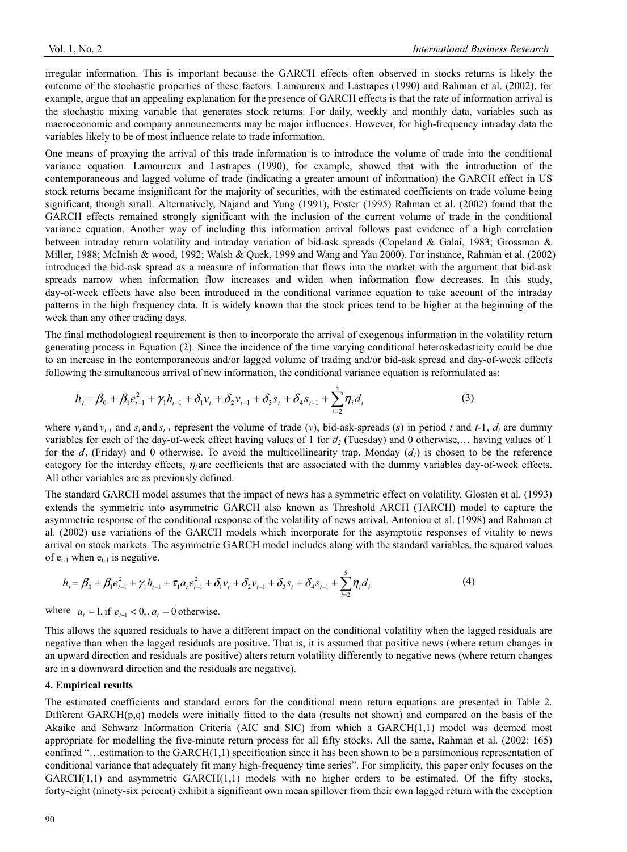irregular information. This is important because the GARCH effects often observed in stocks returns is likely the outcome of the stochastic properties of these factors. Lamoureux and Lastrapes (1990) and Rahman et al. (2002), for example, argue that an appealing explanation for the presence of GARCH effects is that the rate of information arrival is the stochastic mixing variable that generates stock returns. For daily, weekly and monthly data, variables such as macroeconomic and company announcements may be major influences. However, for high-frequency intraday data the variables likely to be of most influence relate to trade information.

One means of proxying the arrival of this trade information is to introduce the volume of trade into the conditional variance equation. Lamoureux and Lastrapes (1990), for example, showed that with the introduction of the contemporaneous and lagged volume of trade (indicating a greater amount of information) the GARCH effect in US stock returns became insignificant for the majority of securities, with the estimated coefficients on trade volume being significant, though small. Alternatively, Najand and Yung (1991), Foster (1995) Rahman et al. (2002) found that the GARCH effects remained strongly significant with the inclusion of the current volume of trade in the conditional variance equation. Another way of including this information arrival follows past evidence of a high correlation between intraday return volatility and intraday variation of bid-ask spreads (Copeland & Galai, 1983; Grossman & Miller, 1988; McInish & wood, 1992; Walsh & Quek, 1999 and Wang and Yau 2000). For instance, Rahman et al. (2002) introduced the bid-ask spread as a measure of information that flows into the market with the argument that bid-ask spreads narrow when information flow increases and widen when information flow decreases. In this study, day-of-week effects have also been introduced in the conditional variance equation to take account of the intraday patterns in the high frequency data. It is widely known that the stock prices tend to be higher at the beginning of the week than any other trading days.

The final methodological requirement is then to incorporate the arrival of exogenous information in the volatility return generating process in Equation (2). Since the incidence of the time varying conditional heteroskedasticity could be due to an increase in the contemporaneous and/or lagged volume of trading and/or bid-ask spread and day-of-week effects following the simultaneous arrival of new information, the conditional variance equation is reformulated as:

$$
h_{t} = \beta_{0} + \beta_{1} e_{t-1}^{2} + \gamma_{1} h_{t-1} + \delta_{1} v_{t} + \delta_{2} v_{t-1} + \delta_{3} s_{t} + \delta_{4} s_{t-1} + \sum_{i=2}^{5} \eta_{i} d_{i}
$$
 (3)

where  $v_t$  and  $v_{t-1}$  and  $s_t$  and  $s_{t-1}$  represent the volume of trade (*v*), bid-ask-spreads (*s*) in period *t* and *t*-1,  $d_i$  are dummy variables for each of the day-of-week effect having values of 1 for  $d_2$  (Tuesday) and 0 otherwise,... having values of 1 for the  $d_3$  (Friday) and 0 otherwise. To avoid the multicollinearity trap, Monday  $(d_1)$  is chosen to be the reference category for the interday effects, η*<sup>i</sup>* are coefficients that are associated with the dummy variables day-of-week effects. All other variables are as previously defined.

The standard GARCH model assumes that the impact of news has a symmetric effect on volatility. Glosten et al. (1993) extends the symmetric into asymmetric GARCH also known as Threshold ARCH (TARCH) model to capture the asymmetric response of the conditional response of the volatility of news arrival. Antoniou et al. (1998) and Rahman et al. (2002) use variations of the GARCH models which incorporate for the asymptotic responses of vitality to news arrival on stock markets. The asymmetric GARCH model includes along with the standard variables, the squared values of  $e_{t-1}$  when  $e_{t-1}$  is negative.

$$
h_{t} = \beta_{0} + \beta_{1} e_{t-1}^{2} + \gamma_{1} h_{t-1} + \tau_{1} a_{t} e_{t-1}^{2} + \delta_{1} v_{t} + \delta_{2} v_{t-1} + \delta_{3} s_{t} + \delta_{4} s_{t-1} + \sum_{i=2}^{5} \eta_{i} d_{i}
$$
(4)

where  $a_t = 1$ , if  $e_{t-1} < 0$ ,  $a_t = 0$  otherwise.

This allows the squared residuals to have a different impact on the conditional volatility when the lagged residuals are negative than when the lagged residuals are positive. That is, it is assumed that positive news (where return changes in an upward direction and residuals are positive) alters return volatility differently to negative news (where return changes are in a downward direction and the residuals are negative).

#### **4. Empirical results**

The estimated coefficients and standard errors for the conditional mean return equations are presented in Table 2. Different GARCH $(p,q)$  models were initially fitted to the data (results not shown) and compared on the basis of the Akaike and Schwarz Information Criteria (AIC and SIC) from which a GARCH(1,1) model was deemed most appropriate for modelling the five-minute return process for all fifty stocks. All the same, Rahman et al. (2002: 165) confined "…estimation to the GARCH(1,1) specification since it has been shown to be a parsimonious representation of conditional variance that adequately fit many high-frequency time series". For simplicity, this paper only focuses on the  $GARCH(1,1)$  and asymmetric  $GARCH(1,1)$  models with no higher orders to be estimated. Of the fifty stocks, forty-eight (ninety-six percent) exhibit a significant own mean spillover from their own lagged return with the exception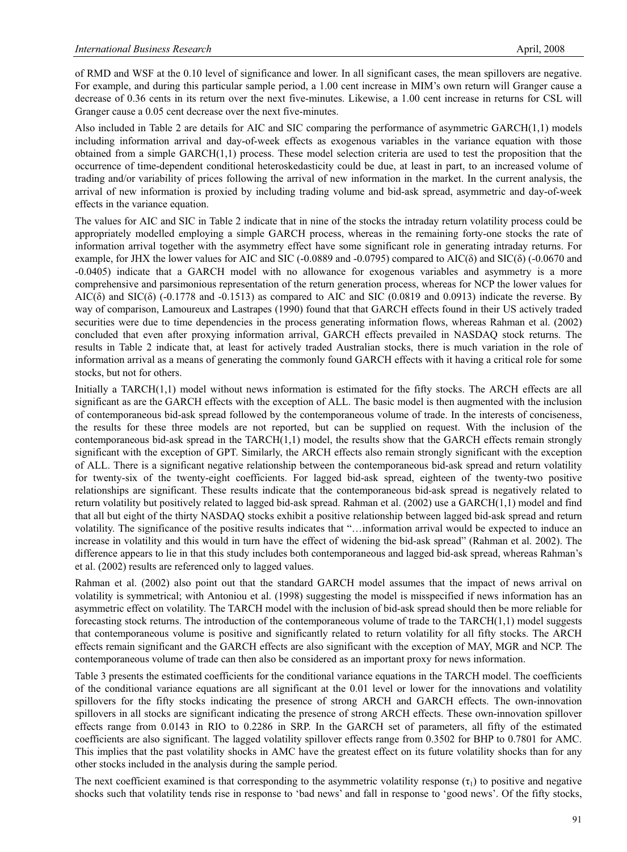of RMD and WSF at the 0.10 level of significance and lower. In all significant cases, the mean spillovers are negative. For example, and during this particular sample period, a 1.00 cent increase in MIM's own return will Granger cause a decrease of 0.36 cents in its return over the next five-minutes. Likewise, a 1.00 cent increase in returns for CSL will Granger cause a 0.05 cent decrease over the next five-minutes.

Also included in Table 2 are details for AIC and SIC comparing the performance of asymmetric GARCH(1,1) models including information arrival and day-of-week effects as exogenous variables in the variance equation with those obtained from a simple GARCH(1,1) process. These model selection criteria are used to test the proposition that the occurrence of time-dependent conditional heteroskedasticity could be due, at least in part, to an increased volume of trading and/or variability of prices following the arrival of new information in the market. In the current analysis, the arrival of new information is proxied by including trading volume and bid-ask spread, asymmetric and day-of-week effects in the variance equation.

The values for AIC and SIC in Table 2 indicate that in nine of the stocks the intraday return volatility process could be appropriately modelled employing a simple GARCH process, whereas in the remaining forty-one stocks the rate of information arrival together with the asymmetry effect have some significant role in generating intraday returns. For example, for JHX the lower values for AIC and SIC (-0.0889 and -0.0795) compared to AIC( $\delta$ ) and SIC( $\delta$ ) (-0.0670 and -0.0405) indicate that a GARCH model with no allowance for exogenous variables and asymmetry is a more comprehensive and parsimonious representation of the return generation process, whereas for NCP the lower values for AIC( $\delta$ ) and SIC( $\delta$ ) (-0.1778 and -0.1513) as compared to AIC and SIC (0.0819 and 0.0913) indicate the reverse. By way of comparison, Lamoureux and Lastrapes (1990) found that that GARCH effects found in their US actively traded securities were due to time dependencies in the process generating information flows, whereas Rahman et al. (2002) concluded that even after proxying information arrival, GARCH effects prevailed in NASDAQ stock returns. The results in Table 2 indicate that, at least for actively traded Australian stocks, there is much variation in the role of information arrival as a means of generating the commonly found GARCH effects with it having a critical role for some stocks, but not for others.

Initially a TARCH(1,1) model without news information is estimated for the fifty stocks. The ARCH effects are all significant as are the GARCH effects with the exception of ALL. The basic model is then augmented with the inclusion of contemporaneous bid-ask spread followed by the contemporaneous volume of trade. In the interests of conciseness, the results for these three models are not reported, but can be supplied on request. With the inclusion of the contemporaneous bid-ask spread in the  $TARCH(1,1)$  model, the results show that the GARCH effects remain strongly significant with the exception of GPT. Similarly, the ARCH effects also remain strongly significant with the exception of ALL. There is a significant negative relationship between the contemporaneous bid-ask spread and return volatility for twenty-six of the twenty-eight coefficients. For lagged bid-ask spread, eighteen of the twenty-two positive relationships are significant. These results indicate that the contemporaneous bid-ask spread is negatively related to return volatility but positively related to lagged bid-ask spread. Rahman et al. (2002) use a GARCH(1,1) model and find that all but eight of the thirty NASDAQ stocks exhibit a positive relationship between lagged bid-ask spread and return volatility. The significance of the positive results indicates that "…information arrival would be expected to induce an increase in volatility and this would in turn have the effect of widening the bid-ask spread" (Rahman et al. 2002). The difference appears to lie in that this study includes both contemporaneous and lagged bid-ask spread, whereas Rahman's et al. (2002) results are referenced only to lagged values.

Rahman et al. (2002) also point out that the standard GARCH model assumes that the impact of news arrival on volatility is symmetrical; with Antoniou et al. (1998) suggesting the model is misspecified if news information has an asymmetric effect on volatility. The TARCH model with the inclusion of bid-ask spread should then be more reliable for forecasting stock returns. The introduction of the contemporaneous volume of trade to the TARCH(1,1) model suggests that contemporaneous volume is positive and significantly related to return volatility for all fifty stocks. The ARCH effects remain significant and the GARCH effects are also significant with the exception of MAY, MGR and NCP. The contemporaneous volume of trade can then also be considered as an important proxy for news information.

Table 3 presents the estimated coefficients for the conditional variance equations in the TARCH model. The coefficients of the conditional variance equations are all significant at the 0.01 level or lower for the innovations and volatility spillovers for the fifty stocks indicating the presence of strong ARCH and GARCH effects. The own-innovation spillovers in all stocks are significant indicating the presence of strong ARCH effects. These own-innovation spillover effects range from 0.0143 in RIO to 0.2286 in SRP. In the GARCH set of parameters, all fifty of the estimated coefficients are also significant. The lagged volatility spillover effects range from 0.3502 for BHP to 0.7801 for AMC. This implies that the past volatility shocks in AMC have the greatest effect on its future volatility shocks than for any other stocks included in the analysis during the sample period.

The next coefficient examined is that corresponding to the asymmetric volatility response  $(\tau_1)$  to positive and negative shocks such that volatility tends rise in response to 'bad news' and fall in response to 'good news'. Of the fifty stocks,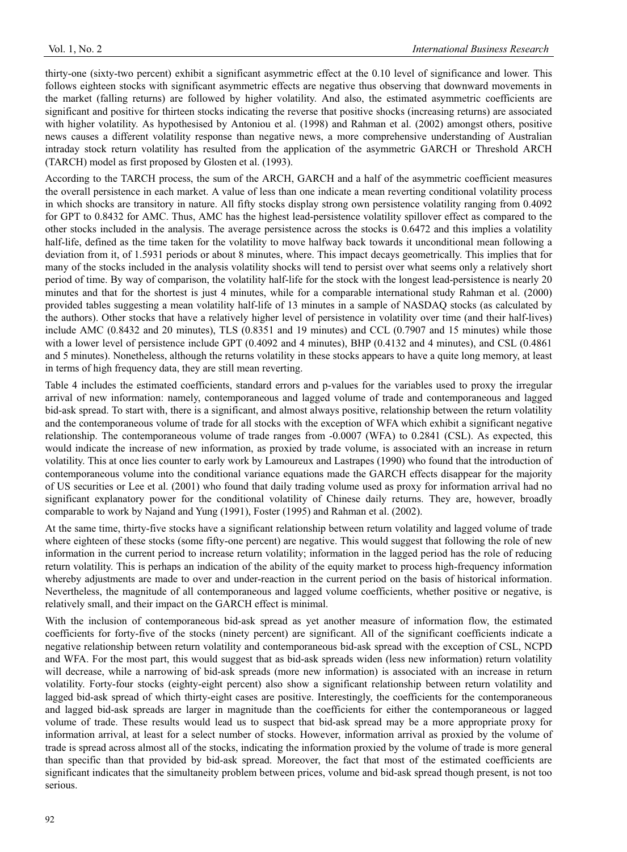thirty-one (sixty-two percent) exhibit a significant asymmetric effect at the 0.10 level of significance and lower. This follows eighteen stocks with significant asymmetric effects are negative thus observing that downward movements in the market (falling returns) are followed by higher volatility. And also, the estimated asymmetric coefficients are significant and positive for thirteen stocks indicating the reverse that positive shocks (increasing returns) are associated with higher volatility. As hypothesised by Antoniou et al. (1998) and Rahman et al. (2002) amongst others, positive news causes a different volatility response than negative news, a more comprehensive understanding of Australian intraday stock return volatility has resulted from the application of the asymmetric GARCH or Threshold ARCH (TARCH) model as first proposed by Glosten et al. (1993).

According to the TARCH process, the sum of the ARCH, GARCH and a half of the asymmetric coefficient measures the overall persistence in each market. A value of less than one indicate a mean reverting conditional volatility process in which shocks are transitory in nature. All fifty stocks display strong own persistence volatility ranging from 0.4092 for GPT to 0.8432 for AMC. Thus, AMC has the highest lead-persistence volatility spillover effect as compared to the other stocks included in the analysis. The average persistence across the stocks is 0.6472 and this implies a volatility half-life, defined as the time taken for the volatility to move halfway back towards it unconditional mean following a deviation from it, of 1.5931 periods or about 8 minutes, where. This impact decays geometrically. This implies that for many of the stocks included in the analysis volatility shocks will tend to persist over what seems only a relatively short period of time. By way of comparison, the volatility half-life for the stock with the longest lead-persistence is nearly 20 minutes and that for the shortest is just 4 minutes, while for a comparable international study Rahman et al. (2000) provided tables suggesting a mean volatility half-life of 13 minutes in a sample of NASDAQ stocks (as calculated by the authors). Other stocks that have a relatively higher level of persistence in volatility over time (and their half-lives) include AMC (0.8432 and 20 minutes), TLS (0.8351 and 19 minutes) and CCL (0.7907 and 15 minutes) while those with a lower level of persistence include GPT (0.4092 and 4 minutes), BHP (0.4132 and 4 minutes), and CSL (0.4861 and 5 minutes). Nonetheless, although the returns volatility in these stocks appears to have a quite long memory, at least in terms of high frequency data, they are still mean reverting.

Table 4 includes the estimated coefficients, standard errors and p-values for the variables used to proxy the irregular arrival of new information: namely, contemporaneous and lagged volume of trade and contemporaneous and lagged bid-ask spread. To start with, there is a significant, and almost always positive, relationship between the return volatility and the contemporaneous volume of trade for all stocks with the exception of WFA which exhibit a significant negative relationship. The contemporaneous volume of trade ranges from -0.0007 (WFA) to 0.2841 (CSL). As expected, this would indicate the increase of new information, as proxied by trade volume, is associated with an increase in return volatility. This at once lies counter to early work by Lamoureux and Lastrapes (1990) who found that the introduction of contemporaneous volume into the conditional variance equations made the GARCH effects disappear for the majority of US securities or Lee et al. (2001) who found that daily trading volume used as proxy for information arrival had no significant explanatory power for the conditional volatility of Chinese daily returns. They are, however, broadly comparable to work by Najand and Yung (1991), Foster (1995) and Rahman et al. (2002).

At the same time, thirty-five stocks have a significant relationship between return volatility and lagged volume of trade where eighteen of these stocks (some fifty-one percent) are negative. This would suggest that following the role of new information in the current period to increase return volatility; information in the lagged period has the role of reducing return volatility. This is perhaps an indication of the ability of the equity market to process high-frequency information whereby adjustments are made to over and under-reaction in the current period on the basis of historical information. Nevertheless, the magnitude of all contemporaneous and lagged volume coefficients, whether positive or negative, is relatively small, and their impact on the GARCH effect is minimal.

With the inclusion of contemporaneous bid-ask spread as yet another measure of information flow, the estimated coefficients for forty-five of the stocks (ninety percent) are significant. All of the significant coefficients indicate a negative relationship between return volatility and contemporaneous bid-ask spread with the exception of CSL, NCPD and WFA. For the most part, this would suggest that as bid-ask spreads widen (less new information) return volatility will decrease, while a narrowing of bid-ask spreads (more new information) is associated with an increase in return volatility. Forty-four stocks (eighty-eight percent) also show a significant relationship between return volatility and lagged bid-ask spread of which thirty-eight cases are positive. Interestingly, the coefficients for the contemporaneous and lagged bid-ask spreads are larger in magnitude than the coefficients for either the contemporaneous or lagged volume of trade. These results would lead us to suspect that bid-ask spread may be a more appropriate proxy for information arrival, at least for a select number of stocks. However, information arrival as proxied by the volume of trade is spread across almost all of the stocks, indicating the information proxied by the volume of trade is more general than specific than that provided by bid-ask spread. Moreover, the fact that most of the estimated coefficients are significant indicates that the simultaneity problem between prices, volume and bid-ask spread though present, is not too serious.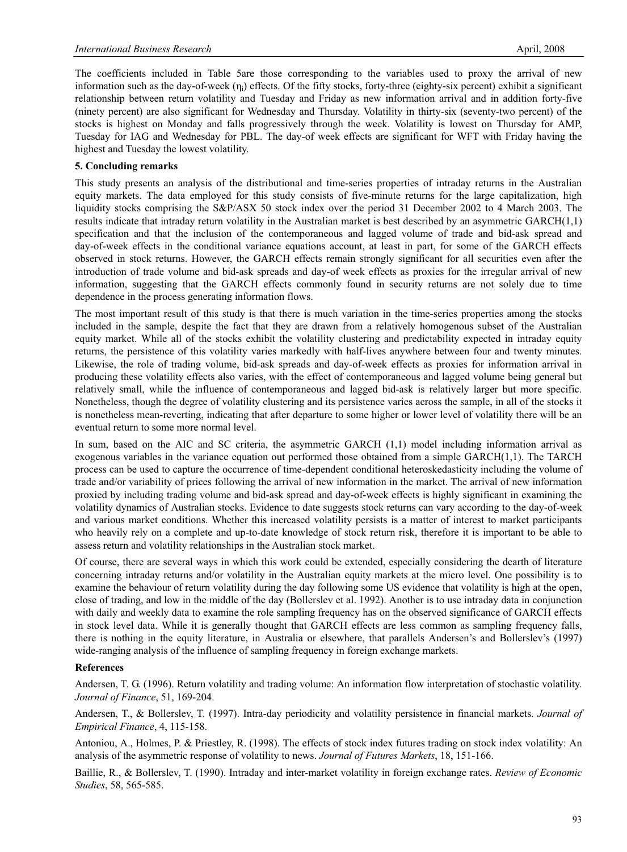The coefficients included in Table 5are those corresponding to the variables used to proxy the arrival of new information such as the day-of-week  $(\eta_i)$  effects. Of the fifty stocks, forty-three (eighty-six percent) exhibit a significant relationship between return volatility and Tuesday and Friday as new information arrival and in addition forty-five (ninety percent) are also significant for Wednesday and Thursday. Volatility in thirty-six (seventy-two percent) of the stocks is highest on Monday and falls progressively through the week. Volatility is lowest on Thursday for AMP, Tuesday for IAG and Wednesday for PBL. The day-of week effects are significant for WFT with Friday having the highest and Tuesday the lowest volatility.

#### **5. Concluding remarks**

This study presents an analysis of the distributional and time-series properties of intraday returns in the Australian equity markets. The data employed for this study consists of five-minute returns for the large capitalization, high liquidity stocks comprising the S&P/ASX 50 stock index over the period 31 December 2002 to 4 March 2003. The results indicate that intraday return volatility in the Australian market is best described by an asymmetric GARCH(1,1) specification and that the inclusion of the contemporaneous and lagged volume of trade and bid-ask spread and day-of-week effects in the conditional variance equations account, at least in part, for some of the GARCH effects observed in stock returns. However, the GARCH effects remain strongly significant for all securities even after the introduction of trade volume and bid-ask spreads and day-of week effects as proxies for the irregular arrival of new information, suggesting that the GARCH effects commonly found in security returns are not solely due to time dependence in the process generating information flows.

The most important result of this study is that there is much variation in the time-series properties among the stocks included in the sample, despite the fact that they are drawn from a relatively homogenous subset of the Australian equity market. While all of the stocks exhibit the volatility clustering and predictability expected in intraday equity returns, the persistence of this volatility varies markedly with half-lives anywhere between four and twenty minutes. Likewise, the role of trading volume, bid-ask spreads and day-of-week effects as proxies for information arrival in producing these volatility effects also varies, with the effect of contemporaneous and lagged volume being general but relatively small, while the influence of contemporaneous and lagged bid-ask is relatively larger but more specific. Nonetheless, though the degree of volatility clustering and its persistence varies across the sample, in all of the stocks it is nonetheless mean-reverting, indicating that after departure to some higher or lower level of volatility there will be an eventual return to some more normal level.

In sum, based on the AIC and SC criteria, the asymmetric GARCH (1,1) model including information arrival as exogenous variables in the variance equation out performed those obtained from a simple GARCH(1,1). The TARCH process can be used to capture the occurrence of time-dependent conditional heteroskedasticity including the volume of trade and/or variability of prices following the arrival of new information in the market. The arrival of new information proxied by including trading volume and bid-ask spread and day-of-week effects is highly significant in examining the volatility dynamics of Australian stocks. Evidence to date suggests stock returns can vary according to the day-of-week and various market conditions. Whether this increased volatility persists is a matter of interest to market participants who heavily rely on a complete and up-to-date knowledge of stock return risk, therefore it is important to be able to assess return and volatility relationships in the Australian stock market.

Of course, there are several ways in which this work could be extended, especially considering the dearth of literature concerning intraday returns and/or volatility in the Australian equity markets at the micro level. One possibility is to examine the behaviour of return volatility during the day following some US evidence that volatility is high at the open, close of trading, and low in the middle of the day (Bollerslev et al. 1992). Another is to use intraday data in conjunction with daily and weekly data to examine the role sampling frequency has on the observed significance of GARCH effects in stock level data. While it is generally thought that GARCH effects are less common as sampling frequency falls, there is nothing in the equity literature, in Australia or elsewhere, that parallels Andersen's and Bollerslev's (1997) wide-ranging analysis of the influence of sampling frequency in foreign exchange markets.

#### **References**

Andersen, T. G. (1996). Return volatility and trading volume: An information flow interpretation of stochastic volatility. *Journal of Finance*, 51, 169-204.

Andersen, T., & Bollerslev, T. (1997). Intra-day periodicity and volatility persistence in financial markets. *Journal of Empirical Finance*, 4, 115-158.

Antoniou, A., Holmes, P. & Priestley, R. (1998). The effects of stock index futures trading on stock index volatility: An analysis of the asymmetric response of volatility to news. *Journal of Futures Markets*, 18, 151-166.

Baillie, R., & Bollerslev, T. (1990). Intraday and inter-market volatility in foreign exchange rates. *Review of Economic Studies*, 58, 565-585.